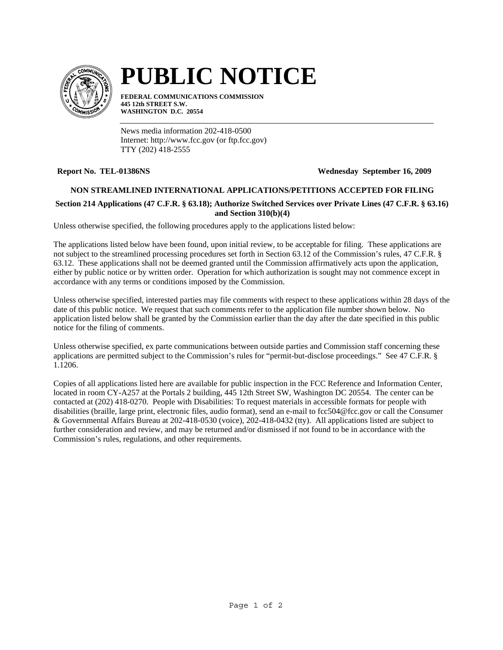

# **PUBLIC NOTICE**

**FEDERAL COMMUNICATIONS COMMISSION 445 12th STREET S.W. WASHINGTON D.C. 20554**

News media information 202-418-0500 Internet: http://www.fcc.gov (or ftp.fcc.gov) TTY (202) 418-2555

**Report No. TEL-01386NS Wednesday September 16, 2009**

### **NON STREAMLINED INTERNATIONAL APPLICATIONS/PETITIONS ACCEPTED FOR FILING**

## **Section 214 Applications (47 C.F.R. § 63.18); Authorize Switched Services over Private Lines (47 C.F.R. § 63.16) and Section 310(b)(4)**

Unless otherwise specified, the following procedures apply to the applications listed below:

The applications listed below have been found, upon initial review, to be acceptable for filing. These applications are not subject to the streamlined processing procedures set forth in Section 63.12 of the Commission's rules, 47 C.F.R. § 63.12. These applications shall not be deemed granted until the Commission affirmatively acts upon the application, either by public notice or by written order. Operation for which authorization is sought may not commence except in accordance with any terms or conditions imposed by the Commission.

Unless otherwise specified, interested parties may file comments with respect to these applications within 28 days of the date of this public notice. We request that such comments refer to the application file number shown below. No application listed below shall be granted by the Commission earlier than the day after the date specified in this public notice for the filing of comments.

Unless otherwise specified, ex parte communications between outside parties and Commission staff concerning these applications are permitted subject to the Commission's rules for "permit-but-disclose proceedings." See 47 C.F.R. § 1.1206.

Copies of all applications listed here are available for public inspection in the FCC Reference and Information Center, located in room CY-A257 at the Portals 2 building, 445 12th Street SW, Washington DC 20554. The center can be contacted at (202) 418-0270. People with Disabilities: To request materials in accessible formats for people with disabilities (braille, large print, electronic files, audio format), send an e-mail to fcc504@fcc.gov or call the Consumer & Governmental Affairs Bureau at 202-418-0530 (voice), 202-418-0432 (tty). All applications listed are subject to further consideration and review, and may be returned and/or dismissed if not found to be in accordance with the Commission's rules, regulations, and other requirements.